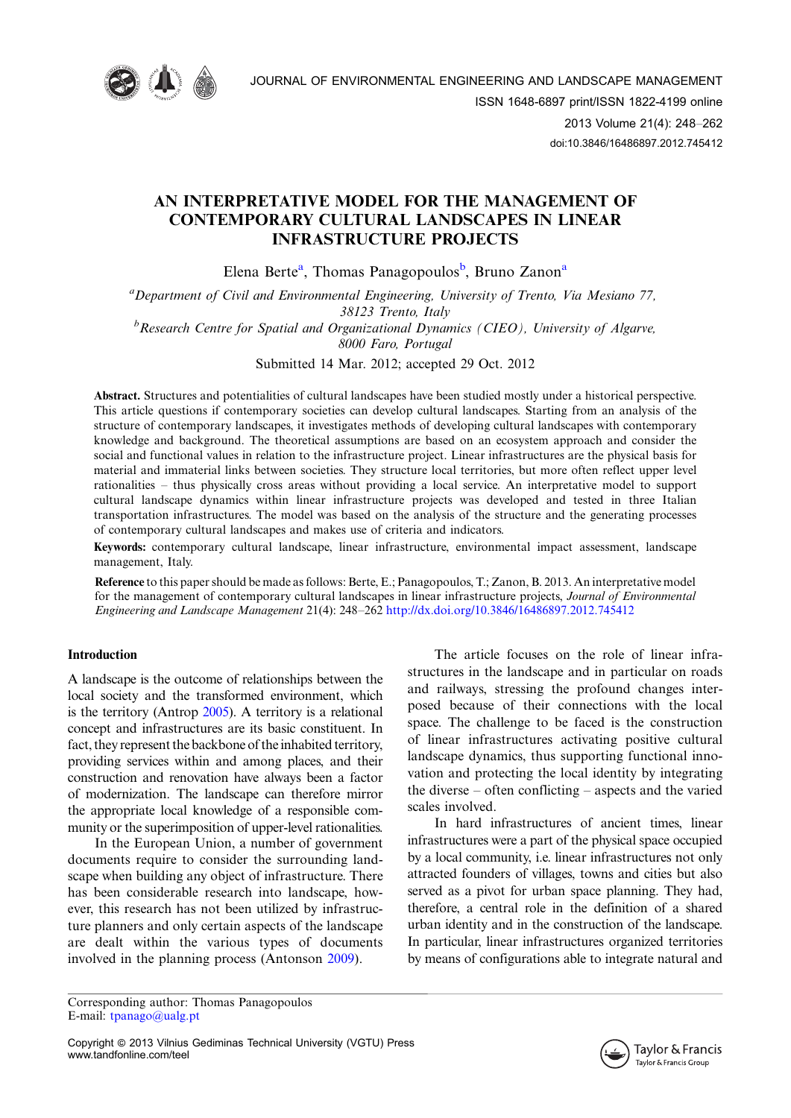

# AN INTERPRETATIVE MODEL FOR THE MANAGEMENT OF CONTEMPORARY CULTURAL LANDSCAPES IN LINEAR INFRASTRUCTURE PROJECTS

Elena Berte<sup>a</sup>, Thomas Panagopoulos<sup>b</sup>, Bruno Zanon<sup>a</sup>

<sup>a</sup>Department of Civil and Environmental Engineering, University of Trento, Via Mesiano 77, 38123 Trento, Italy  $^b$ Research Centre for Spatial and Organizational Dynamics (CIEO), University of Algarve, 8000 Faro, Portugal

Submitted 14 Mar. 2012; accepted 29 Oct. 2012

Abstract. Structures and potentialities of cultural landscapes have been studied mostly under a historical perspective. This article questions if contemporary societies can develop cultural landscapes. Starting from an analysis of the structure of contemporary landscapes, it investigates methods of developing cultural landscapes with contemporary knowledge and background. The theoretical assumptions are based on an ecosystem approach and consider the social and functional values in relation to the infrastructure project. Linear infrastructures are the physical basis for material and immaterial links between societies. They structure local territories, but more often reflect upper level rationalities - thus physically cross areas without providing a local service. An interpretative model to support cultural landscape dynamics within linear infrastructure projects was developed and tested in three Italian transportation infrastructures. The model was based on the analysis of the structure and the generating processes of contemporary cultural landscapes and makes use of criteria and indicators.

Keywords: contemporary cultural landscape, linear infrastructure, environmental impact assessment, landscape management, Italy.

Reference to this paper should be made as follows: Berte, E.; Panagopoulos, T.; Zanon, B. 2013. An interpretative model for the management of contemporary cultural landscapes in linear infrastructure projects, Journal of Environmental Engineering and Landscape Management 21(4): 248-262 [http://dx.doi.org/10.3846/16486897.2012.745412](http://dx.doi.org/10.3846/1648-6897.2009.17.20-27)

# Introduction

A landscape is the outcome of relationships between the local society and the transformed environment, which is the territory (Antrop [2005](#page-13-0)). A territory is a relational concept and infrastructures are its basic constituent. In fact, they represent the backbone of the inhabited territory, providing services within and among places, and their construction and renovation have always been a factor of modernization. The landscape can therefore mirror the appropriate local knowledge of a responsible community or the superimposition of upper-level rationalities.

In the European Union, a number of government documents require to consider the surrounding landscape when building any object of infrastructure. There has been considerable research into landscape, however, this research has not been utilized by infrastructure planners and only certain aspects of the landscape are dealt within the various types of documents involved in the planning process (Antonson [2009\)](#page-13-0).

The article focuses on the role of linear infrastructures in the landscape and in particular on roads and railways, stressing the profound changes interposed because of their connections with the local space. The challenge to be faced is the construction of linear infrastructures activating positive cultural landscape dynamics, thus supporting functional innovation and protecting the local identity by integrating the diverse - often conflicting - aspects and the varied scales involved.

In hard infrastructures of ancient times, linear infrastructures were a part of the physical space occupied by a local community, i.e. linear infrastructures not only attracted founders of villages, towns and cities but also served as a pivot for urban space planning. They had, therefore, a central role in the definition of a shared urban identity and in the construction of the landscape. In particular, linear infrastructures organized territories by means of configurations able to integrate natural and



Corresponding author: Thomas Panagopoulos E-mail: [tpanago@ualg.pt](mailto:tpanago@ualg.pt)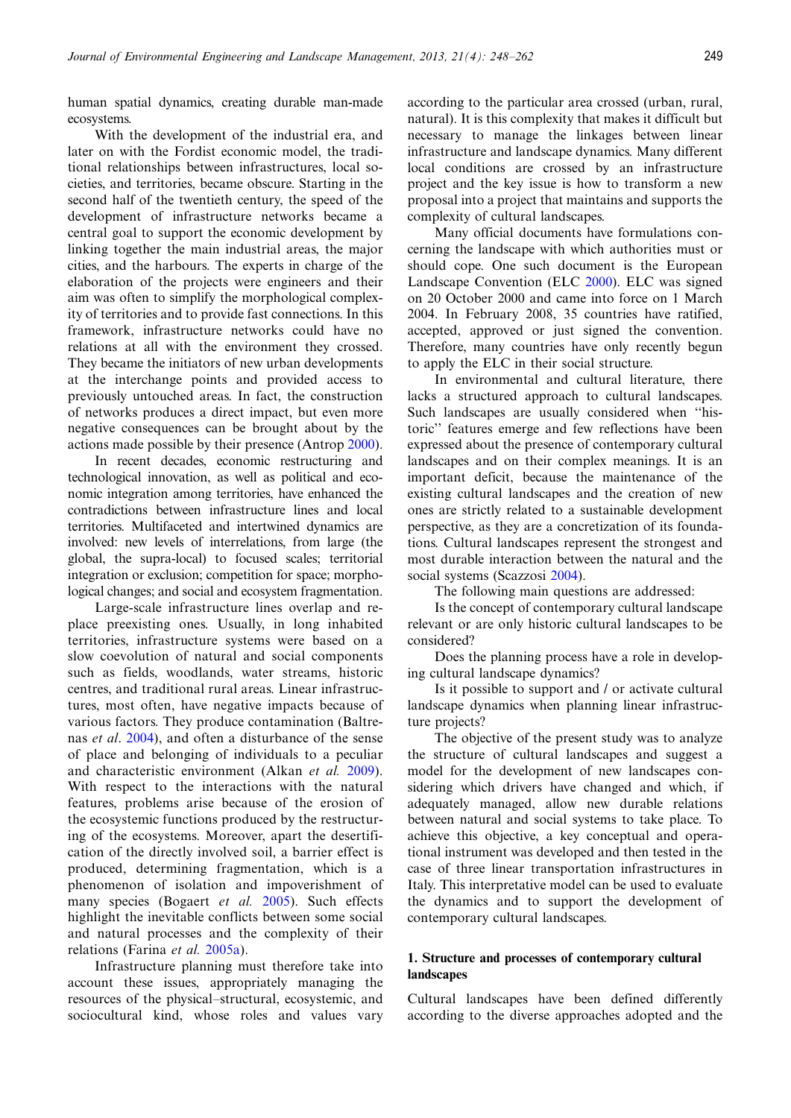human spatial dynamics, creating durable man-made ecosystems.

With the development of the industrial era, and later on with the Fordist economic model, the traditional relationships between infrastructures, local societies, and territories, became obscure. Starting in the second half of the twentieth century, the speed of the development of infrastructure networks became a central goal to support the economic development by linking together the main industrial areas, the major cities, and the harbours. The experts in charge of the elaboration of the projects were engineers and their aim was often to simplify the morphological complexity of territories and to provide fast connections. In this framework, infrastructure networks could have no relations at all with the environment they crossed. They became the initiators of new urban developments at the interchange points and provided access to previously untouched areas. In fact, the construction of networks produces a direct impact, but even more negative consequences can be brought about by the actions made possible by their presence (Antrop [2000\)](#page-13-0).

In recent decades, economic restructuring and technological innovation, as well as political and economic integration among territories, have enhanced the contradictions between infrastructure lines and local territories. Multifaceted and intertwined dynamics are involved: new levels of interrelations, from large (the global, the supra-local) to focused scales; territorial integration or exclusion; competition for space; morphological changes; and social and ecosystem fragmentation.

Large-scale infrastructure lines overlap and replace preexisting ones. Usually, in long inhabited territories, infrastructure systems were based on a slow coevolution of natural and social components such as fields, woodlands, water streams, historic centres, and traditional rural areas. Linear infrastructures, most often, have negative impacts because of various factors. They produce contamination (Baltrenas *et al.* [2004](#page-13-0)), and often a disturbance of the sense of place and belonging of individuals to a peculiar and characteristic environment (Alkan et al. [2009](#page-13-0)). With respect to the interactions with the natural features, problems arise because of the erosion of the ecosystemic functions produced by the restructuring of the ecosystems. Moreover, apart the desertification of the directly involved soil, a barrier effect is produced, determining fragmentation, which is a phenomenon of isolation and impoverishment of many species (Bogaert et al. [2005](#page-13-0)). Such effects highlight the inevitable conflicts between some social and natural processes and the complexity of their relations (Farina et al. [2005a\)](#page-13-0).

Infrastructure planning must therefore take into account these issues, appropriately managing the resources of the physical-structural, ecosystemic, and sociocultural kind, whose roles and values vary according to the particular area crossed (urban, rural, natural). It is this complexity that makes it difficult but necessary to manage the linkages between linear infrastructure and landscape dynamics. Many different local conditions are crossed by an infrastructure project and the key issue is how to transform a new proposal into a project that maintains and supports the complexity of cultural landscapes.

Many official documents have formulations concerning the landscape with which authorities must or should cope. One such document is the European Landscape Convention (ELC [2000](#page-13-0)). ELC was signed on 20 October 2000 and came into force on 1 March 2004. In February 2008, 35 countries have ratified, accepted, approved or just signed the convention. Therefore, many countries have only recently begun to apply the ELC in their social structure.

In environmental and cultural literature, there lacks a structured approach to cultural landscapes. Such landscapes are usually considered when ''historic'' features emerge and few reflections have been expressed about the presence of contemporary cultural landscapes and on their complex meanings. It is an important deficit, because the maintenance of the existing cultural landscapes and the creation of new ones are strictly related to a sustainable development perspective, as they are a concretization of its foundations. Cultural landscapes represent the strongest and most durable interaction between the natural and the social systems (Scazzosi [2004\)](#page-14-0).

The following main questions are addressed:

Is the concept of contemporary cultural landscape relevant or are only historic cultural landscapes to be considered?

Does the planning process have a role in developing cultural landscape dynamics?

Is it possible to support and / or activate cultural landscape dynamics when planning linear infrastructure projects?

The objective of the present study was to analyze the structure of cultural landscapes and suggest a model for the development of new landscapes considering which drivers have changed and which, if adequately managed, allow new durable relations between natural and social systems to take place. To achieve this objective, a key conceptual and operational instrument was developed and then tested in the case of three linear transportation infrastructures in Italy. This interpretative model can be used to evaluate the dynamics and to support the development of contemporary cultural landscapes.

## 1. Structure and processes of contemporary cultural landscapes

Cultural landscapes have been defined differently according to the diverse approaches adopted and the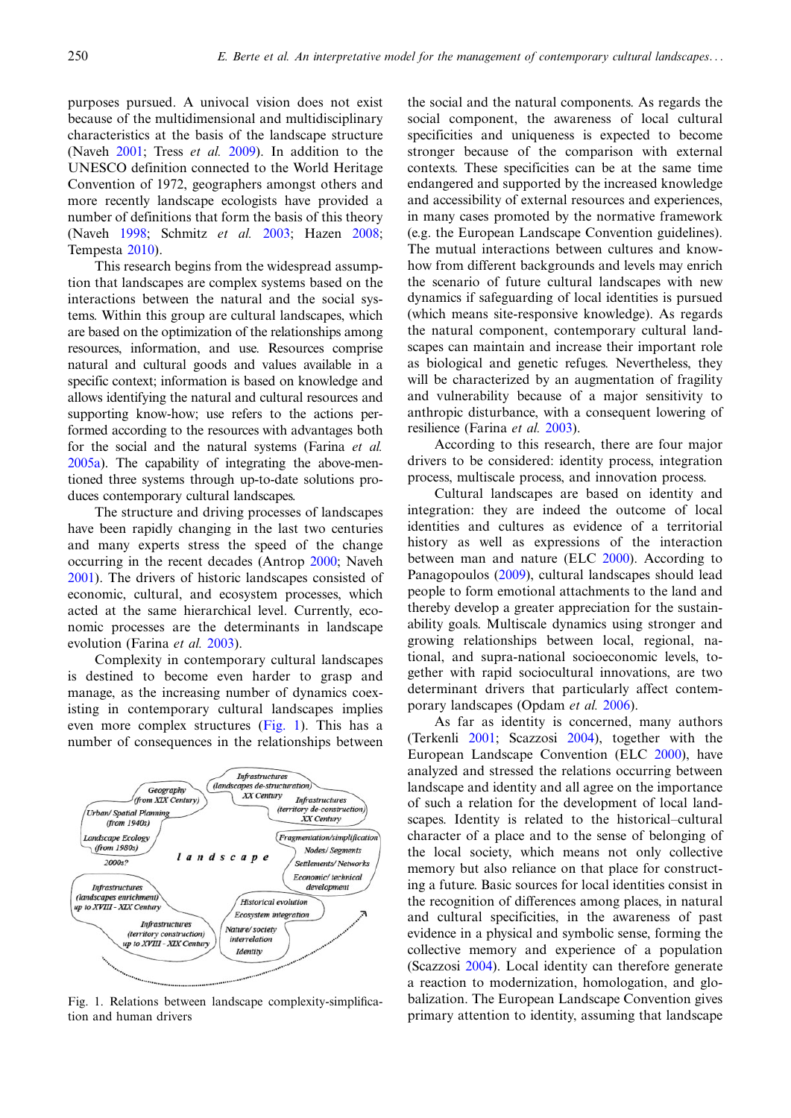purposes pursued. A univocal vision does not exist because of the multidimensional and multidisciplinary characteristics at the basis of the landscape structure (Naveh [2001](#page-14-0); Tress et al. [2009](#page-14-0)). In addition to the UNESCO definition connected to the World Heritage Convention of 1972, geographers amongst others and more recently landscape ecologists have provided a number of definitions that form the basis of this theory (Naveh [1998;](#page-14-0) Schmitz et al. [2003](#page-14-0); Hazen [2008;](#page-13-0) Tempesta [2010\)](#page-14-0).

This research begins from the widespread assumption that landscapes are complex systems based on the interactions between the natural and the social systems. Within this group are cultural landscapes, which are based on the optimization of the relationships among resources, information, and use. Resources comprise natural and cultural goods and values available in a specific context; information is based on knowledge and allows identifying the natural and cultural resources and supporting know-how; use refers to the actions performed according to the resources with advantages both for the social and the natural systems (Farina et al. [2005a\)](#page-13-0). The capability of integrating the above-mentioned three systems through up-to-date solutions produces contemporary cultural landscapes.

The structure and driving processes of landscapes have been rapidly changing in the last two centuries and many experts stress the speed of the change occurring in the recent decades (Antrop [2000;](#page-13-0) Naveh [2001\)](#page-14-0). The drivers of historic landscapes consisted of economic, cultural, and ecosystem processes, which acted at the same hierarchical level. Currently, economic processes are the determinants in landscape evolution (Farina et al. [2003](#page-13-0)).

Complexity in contemporary cultural landscapes is destined to become even harder to grasp and manage, as the increasing number of dynamics coexisting in contemporary cultural landscapes implies even more complex structures (Fig. 1). This has a number of consequences in the relationships between



Fig. 1. Relations between landscape complexity-simplification and human drivers

the social and the natural components. As regards the social component, the awareness of local cultural specificities and uniqueness is expected to become stronger because of the comparison with external contexts. These specificities can be at the same time endangered and supported by the increased knowledge and accessibility of external resources and experiences, in many cases promoted by the normative framework (e.g. the European Landscape Convention guidelines). The mutual interactions between cultures and knowhow from different backgrounds and levels may enrich the scenario of future cultural landscapes with new dynamics if safeguarding of local identities is pursued (which means site-responsive knowledge). As regards the natural component, contemporary cultural landscapes can maintain and increase their important role as biological and genetic refuges. Nevertheless, they will be characterized by an augmentation of fragility and vulnerability because of a major sensitivity to anthropic disturbance, with a consequent lowering of resilience (Farina et al. [2003\)](#page-13-0).

According to this research, there are four major drivers to be considered: identity process, integration process, multiscale process, and innovation process.

Cultural landscapes are based on identity and integration: they are indeed the outcome of local identities and cultures as evidence of a territorial history as well as expressions of the interaction between man and nature (ELC [2000\)](#page-13-0). According to Panagopoulos ([2009\)](#page-14-0), cultural landscapes should lead people to form emotional attachments to the land and thereby develop a greater appreciation for the sustainability goals. Multiscale dynamics using stronger and growing relationships between local, regional, national, and supra-national socioeconomic levels, together with rapid sociocultural innovations, are two determinant drivers that particularly affect contemporary landscapes (Opdam et al. [2006](#page-14-0)).

As far as identity is concerned, many authors (Terkenli [2001](#page-14-0); Scazzosi [2004\)](#page-14-0), together with the European Landscape Convention (ELC [2000\)](#page-13-0), have analyzed and stressed the relations occurring between landscape and identity and all agree on the importance of such a relation for the development of local landscapes. Identity is related to the historical-cultural character of a place and to the sense of belonging of the local society, which means not only collective memory but also reliance on that place for constructing a future. Basic sources for local identities consist in the recognition of differences among places, in natural and cultural specificities, in the awareness of past evidence in a physical and symbolic sense, forming the collective memory and experience of a population (Scazzosi [2004](#page-14-0)). Local identity can therefore generate a reaction to modernization, homologation, and globalization. The European Landscape Convention gives primary attention to identity, assuming that landscape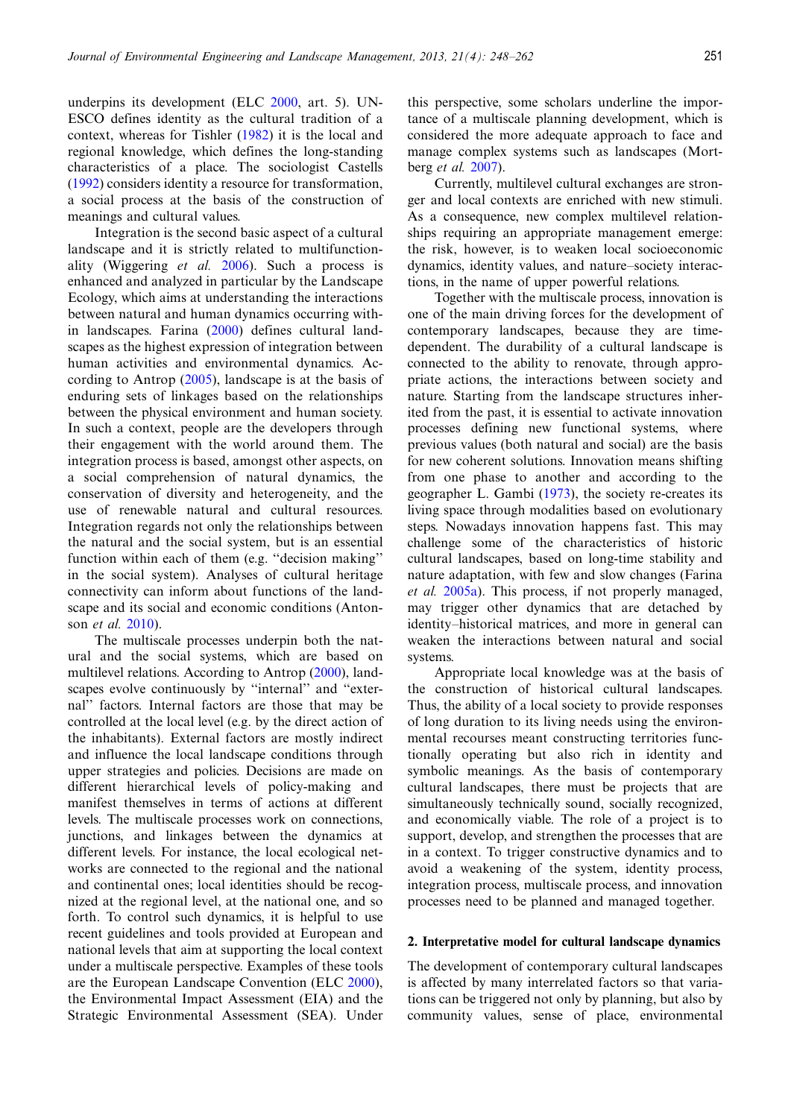underpins its development (ELC [2000,](#page-13-0) art. 5). UN-ESCO defines identity as the cultural tradition of a context, whereas for Tishler ([1982\)](#page-14-0) it is the local and regional knowledge, which defines the long-standing characteristics of a place. The sociologist Castells [\(1992](#page-13-0)) considers identity a resource for transformation, a social process at the basis of the construction of meanings and cultural values.

Integration is the second basic aspect of a cultural landscape and it is strictly related to multifunctionality (Wiggering et al.  $2006$ ). Such a process is enhanced and analyzed in particular by the Landscape Ecology, which aims at understanding the interactions between natural and human dynamics occurring within landscapes. Farina [\(2000](#page-13-0)) defines cultural landscapes as the highest expression of integration between human activities and environmental dynamics. According to Antrop ([2005\)](#page-13-0), landscape is at the basis of enduring sets of linkages based on the relationships between the physical environment and human society. In such a context, people are the developers through their engagement with the world around them. The integration process is based, amongst other aspects, on a social comprehension of natural dynamics, the conservation of diversity and heterogeneity, and the use of renewable natural and cultural resources. Integration regards not only the relationships between the natural and the social system, but is an essential function within each of them (e.g. "decision making" in the social system). Analyses of cultural heritage connectivity can inform about functions of the landscape and its social and economic conditions (Antonson *et al.* [2010](#page-13-0)).

The multiscale processes underpin both the natural and the social systems, which are based on multilevel relations. According to Antrop ([2000\)](#page-13-0), landscapes evolve continuously by ''internal'' and ''external'' factors. Internal factors are those that may be controlled at the local level (e.g. by the direct action of the inhabitants). External factors are mostly indirect and influence the local landscape conditions through upper strategies and policies. Decisions are made on different hierarchical levels of policy-making and manifest themselves in terms of actions at different levels. The multiscale processes work on connections, junctions, and linkages between the dynamics at different levels. For instance, the local ecological networks are connected to the regional and the national and continental ones; local identities should be recognized at the regional level, at the national one, and so forth. To control such dynamics, it is helpful to use recent guidelines and tools provided at European and national levels that aim at supporting the local context under a multiscale perspective. Examples of these tools are the European Landscape Convention (ELC [2000\)](#page-13-0), the Environmental Impact Assessment (EIA) and the Strategic Environmental Assessment (SEA). Under

this perspective, some scholars underline the importance of a multiscale planning development, which is considered the more adequate approach to face and manage complex systems such as landscapes (Mortberg et al. [2007\)](#page-13-0).

Currently, multilevel cultural exchanges are stronger and local contexts are enriched with new stimuli. As a consequence, new complex multilevel relationships requiring an appropriate management emerge: the risk, however, is to weaken local socioeconomic dynamics, identity values, and nature-society interactions, in the name of upper powerful relations.

Together with the multiscale process, innovation is one of the main driving forces for the development of contemporary landscapes, because they are timedependent. The durability of a cultural landscape is connected to the ability to renovate, through appropriate actions, the interactions between society and nature. Starting from the landscape structures inherited from the past, it is essential to activate innovation processes defining new functional systems, where previous values (both natural and social) are the basis for new coherent solutions. Innovation means shifting from one phase to another and according to the geographer L. Gambi [\(1973](#page-13-0)), the society re-creates its living space through modalities based on evolutionary steps. Nowadays innovation happens fast. This may challenge some of the characteristics of historic cultural landscapes, based on long-time stability and nature adaptation, with few and slow changes (Farina et al. [2005a\)](#page-13-0). This process, if not properly managed, may trigger other dynamics that are detached by identity-historical matrices, and more in general can weaken the interactions between natural and social systems.

Appropriate local knowledge was at the basis of the construction of historical cultural landscapes. Thus, the ability of a local society to provide responses of long duration to its living needs using the environmental recourses meant constructing territories functionally operating but also rich in identity and symbolic meanings. As the basis of contemporary cultural landscapes, there must be projects that are simultaneously technically sound, socially recognized, and economically viable. The role of a project is to support, develop, and strengthen the processes that are in a context. To trigger constructive dynamics and to avoid a weakening of the system, identity process, integration process, multiscale process, and innovation processes need to be planned and managed together.

## 2. Interpretative model for cultural landscape dynamics

The development of contemporary cultural landscapes is affected by many interrelated factors so that variations can be triggered not only by planning, but also by community values, sense of place, environmental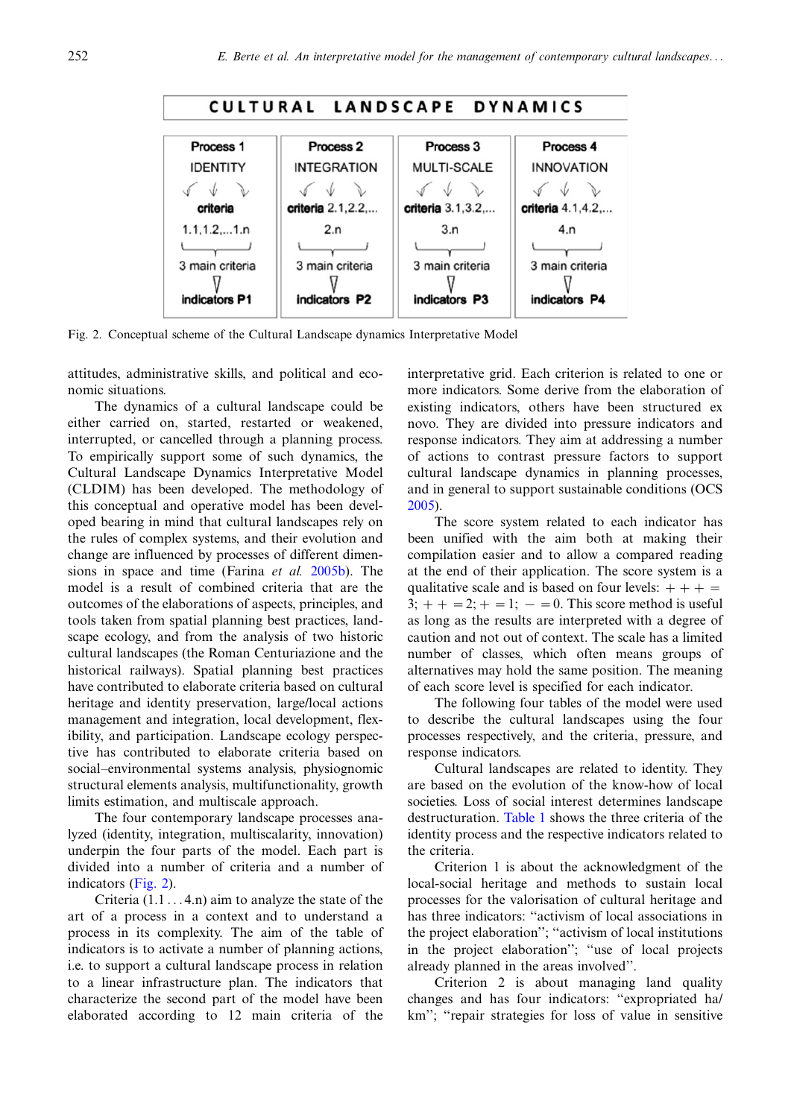

Fig. 2. Conceptual scheme of the Cultural Landscape dynamics Interpretative Model

attitudes, administrative skills, and political and economic situations.

The dynamics of a cultural landscape could be either carried on, started, restarted or weakened, interrupted, or cancelled through a planning process. To empirically support some of such dynamics, the Cultural Landscape Dynamics Interpretative Model (CLDIM) has been developed. The methodology of this conceptual and operative model has been developed bearing in mind that cultural landscapes rely on the rules of complex systems, and their evolution and change are influenced by processes of different dimensions in space and time (Farina et al. [2005b\)](#page-13-0). The model is a result of combined criteria that are the outcomes of the elaborations of aspects, principles, and tools taken from spatial planning best practices, landscape ecology, and from the analysis of two historic cultural landscapes (the Roman Centuriazione and the historical railways). Spatial planning best practices have contributed to elaborate criteria based on cultural heritage and identity preservation, large/local actions management and integration, local development, flexibility, and participation. Landscape ecology perspective has contributed to elaborate criteria based on social-environmental systems analysis, physiognomic structural elements analysis, multifunctionality, growth limits estimation, and multiscale approach.

The four contemporary landscape processes analyzed (identity, integration, multiscalarity, innovation) underpin the four parts of the model. Each part is divided into a number of criteria and a number of indicators (Fig. 2).

Criteria  $(1.1 \ldots 4.n)$  aim to analyze the state of the art of a process in a context and to understand a process in its complexity. The aim of the table of indicators is to activate a number of planning actions, i.e. to support a cultural landscape process in relation to a linear infrastructure plan. The indicators that characterize the second part of the model have been elaborated according to 12 main criteria of the interpretative grid. Each criterion is related to one or more indicators. Some derive from the elaboration of existing indicators, others have been structured ex novo. They are divided into pressure indicators and response indicators. They aim at addressing a number of actions to contrast pressure factors to support cultural landscape dynamics in planning processes, and in general to support sustainable conditions (OCS [2005](#page-14-0)).

The score system related to each indicator has been unified with the aim both at making their compilation easier and to allow a compared reading at the end of their application. The score system is a qualitative scale and is based on four levels:  $++$   $=$  $3; + + = 2; + = 1; - = 0$ . This score method is useful as long as the results are interpreted with a degree of caution and not out of context. The scale has a limited number of classes, which often means groups of alternatives may hold the same position. The meaning of each score level is specified for each indicator.

The following four tables of the model were used to describe the cultural landscapes using the four processes respectively, and the criteria, pressure, and response indicators.

Cultural landscapes are related to identity. They are based on the evolution of the know-how of local societies. Loss of social interest determines landscape destructuration. [Table 1](#page-5-0) shows the three criteria of the identity process and the respective indicators related to the criteria.

Criterion 1 is about the acknowledgment of the local-social heritage and methods to sustain local processes for the valorisation of cultural heritage and has three indicators: ''activism of local associations in the project elaboration''; ''activism of local institutions in the project elaboration''; ''use of local projects already planned in the areas involved''.

Criterion 2 is about managing land quality changes and has four indicators: ''expropriated ha/ km"; "repair strategies for loss of value in sensitive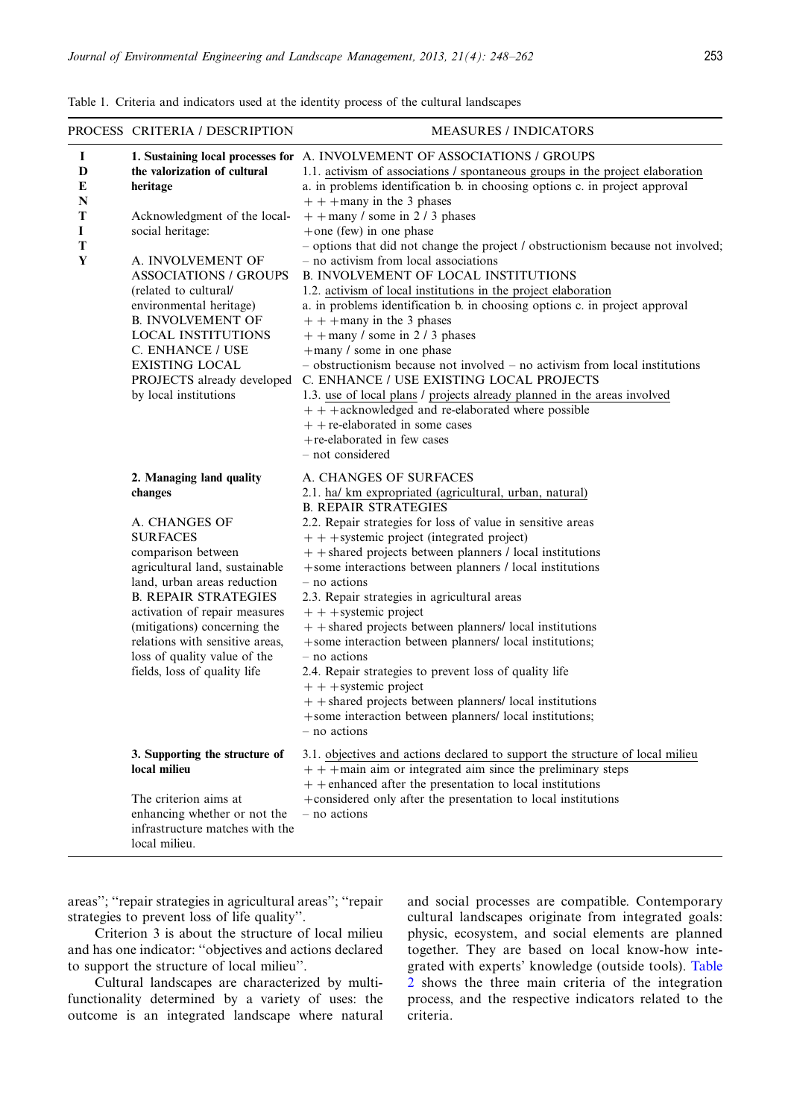|                                      | PROCESS CRITERIA / DESCRIPTION                                                                                                                                                                                                                                                                                                                                     | <b>MEASURES / INDICATORS</b>                                                                                                                                                                                                                                                                                                                                                                                                                                                                                                                                                                                                                                                                                                                                                                                                                                                                                                                                                                                                                                                                                                         |
|--------------------------------------|--------------------------------------------------------------------------------------------------------------------------------------------------------------------------------------------------------------------------------------------------------------------------------------------------------------------------------------------------------------------|--------------------------------------------------------------------------------------------------------------------------------------------------------------------------------------------------------------------------------------------------------------------------------------------------------------------------------------------------------------------------------------------------------------------------------------------------------------------------------------------------------------------------------------------------------------------------------------------------------------------------------------------------------------------------------------------------------------------------------------------------------------------------------------------------------------------------------------------------------------------------------------------------------------------------------------------------------------------------------------------------------------------------------------------------------------------------------------------------------------------------------------|
| I<br>D<br>E<br>N<br>T<br>I<br>T<br>Y | the valorization of cultural<br>heritage<br>Acknowledgment of the local-<br>social heritage:<br>A. INVOLVEMENT OF<br><b>ASSOCIATIONS / GROUPS</b><br>(related to cultural/<br>environmental heritage)<br><b>B. INVOLVEMENT OF</b><br><b>LOCAL INSTITUTIONS</b><br>C. ENHANCE / USE<br><b>EXISTING LOCAL</b><br>PROJECTS already developed<br>by local institutions | 1. Sustaining local processes for A. INVOLVEMENT OF ASSOCIATIONS / GROUPS<br>1.1. activism of associations / spontaneous groups in the project elaboration<br>a. in problems identification b. in choosing options c. in project approval<br>$+++$ many in the 3 phases<br>$+$ + many / some in 2 / 3 phases<br>$+$ one (few) in one phase<br>- options that did not change the project / obstructionism because not involved;<br>- no activism from local associations<br><b>B. INVOLVEMENT OF LOCAL INSTITUTIONS</b><br>1.2. activism of local institutions in the project elaboration<br>a. in problems identification b. in choosing options c. in project approval<br>$+++$ many in the 3 phases<br>$+$ + many / some in 2 / 3 phases<br>+many / some in one phase<br>$-$ obstructionism because not involved $-$ no activism from local institutions<br>C. ENHANCE / USE EXISTING LOCAL PROJECTS<br>1.3. use of local plans / projects already planned in the areas involved<br>$+++$ acknowledged and re-elaborated where possible<br>$+$ + re-elaborated in some cases<br>$+$ re-elaborated in few cases<br>- not considered |
|                                      | 2. Managing land quality<br>changes<br>A. CHANGES OF<br><b>SURFACES</b><br>comparison between<br>agricultural land, sustainable<br>land, urban areas reduction<br><b>B. REPAIR STRATEGIES</b><br>activation of repair measures<br>(mitigations) concerning the<br>relations with sensitive areas,<br>loss of quality value of the<br>fields, loss of quality life  | A. CHANGES OF SURFACES<br>2.1. ha/ km expropriated (agricultural, urban, natural)<br><b>B. REPAIR STRATEGIES</b><br>2.2. Repair strategies for loss of value in sensitive areas<br>$++$ + systemic project (integrated project)<br>$+$ + shared projects between planners / local institutions<br>+some interactions between planners / local institutions<br>- no actions<br>2.3. Repair strategies in agricultural areas<br>$++$ + systemic project<br>$+$ + shared projects between planners/ local institutions<br>+some interaction between planners/ local institutions;<br>– no actions<br>2.4. Repair strategies to prevent loss of quality life<br>$+++$ systemic project<br>$+$ + shared projects between planners/ local institutions<br>+some interaction between planners/ local institutions;<br>- no actions                                                                                                                                                                                                                                                                                                          |
|                                      | 3. Supporting the structure of<br>local milieu<br>The criterion aims at<br>enhancing whether or not the<br>infrastructure matches with the<br>local milieu.                                                                                                                                                                                                        | 3.1. objectives and actions declared to support the structure of local milieu<br>$+++$ main aim or integrated aim since the preliminary steps<br>$+$ + enhanced after the presentation to local institutions<br>+considered only after the presentation to local institutions<br>$-$ no actions                                                                                                                                                                                                                                                                                                                                                                                                                                                                                                                                                                                                                                                                                                                                                                                                                                      |

<span id="page-5-0"></span>Table 1. Criteria and indicators used at the identity process of the cultural landscapes

areas''; ''repair strategies in agricultural areas''; ''repair strategies to prevent loss of life quality''.

Criterion 3 is about the structure of local milieu and has one indicator: ''objectives and actions declared to support the structure of local milieu''.

Cultural landscapes are characterized by multifunctionality determined by a variety of uses: the outcome is an integrated landscape where natural and social processes are compatible. Contemporary cultural landscapes originate from integrated goals: physic, ecosystem, and social elements are planned together. They are based on local know-how integrated with experts' knowledge (outside tools). [Table](#page-6-0) [2](#page-6-0) shows the three main criteria of the integration process, and the respective indicators related to the criteria.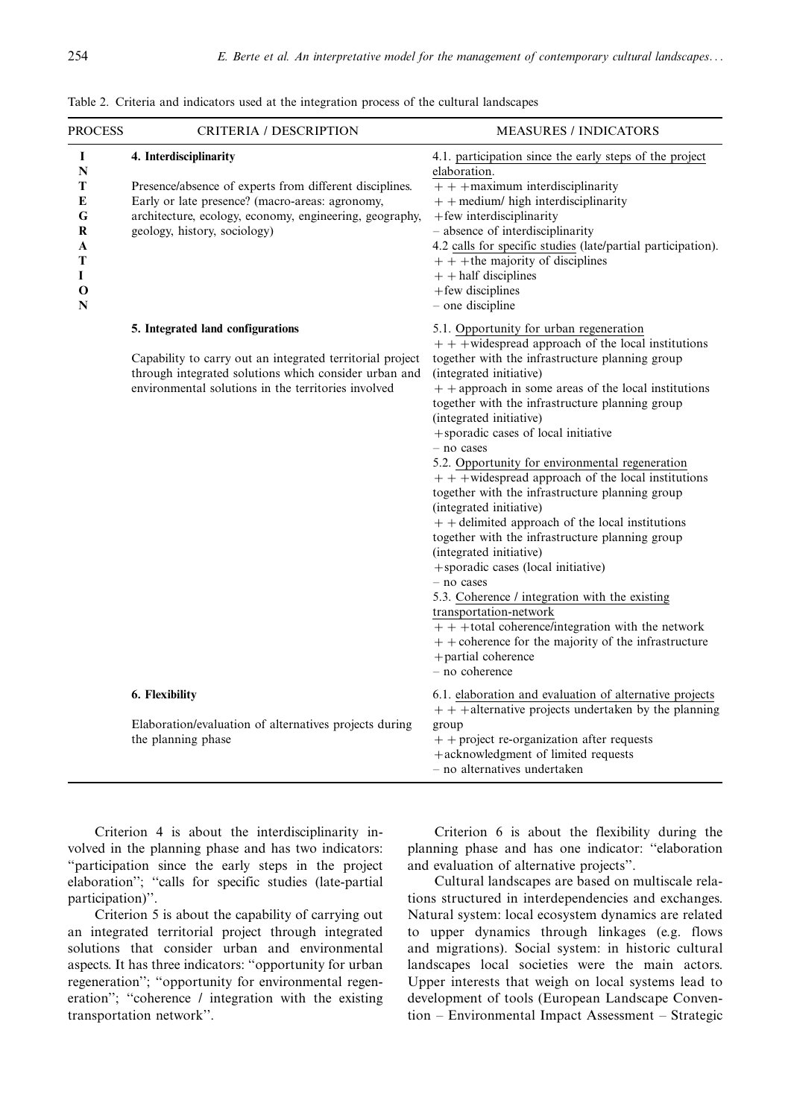| <b>PROCESS</b>                                                                                 | <b>CRITERIA / DESCRIPTION</b>                                                                                                                                                                                                   | <b>MEASURES / INDICATORS</b>                                                                                                                                                                                                                                                                                                                                                                                                                                                                                                                                                                                                                                                                                                                                                                                                                                                                                                                                                                    |  |  |  |  |
|------------------------------------------------------------------------------------------------|---------------------------------------------------------------------------------------------------------------------------------------------------------------------------------------------------------------------------------|-------------------------------------------------------------------------------------------------------------------------------------------------------------------------------------------------------------------------------------------------------------------------------------------------------------------------------------------------------------------------------------------------------------------------------------------------------------------------------------------------------------------------------------------------------------------------------------------------------------------------------------------------------------------------------------------------------------------------------------------------------------------------------------------------------------------------------------------------------------------------------------------------------------------------------------------------------------------------------------------------|--|--|--|--|
| 1<br>N<br>T<br>${\bf E}$<br>G<br>R<br>A<br>T<br>I<br>O<br>N                                    | 4. Interdisciplinarity<br>Presence/absence of experts from different disciplines.<br>Early or late presence? (macro-areas: agronomy,<br>architecture, ecology, economy, engineering, geography,<br>geology, history, sociology) | 4.1. participation since the early steps of the project<br>elaboration.<br>$+++$ maximum interdisciplinarity<br>$+$ + medium/ high interdisciplinarity<br>$+$ few interdisciplinarity<br>- absence of interdisciplinarity<br>4.2 calls for specific studies (late/partial participation).<br>$+++$ the majority of disciplines<br>$+$ + half disciplines<br>$+$ few disciplines<br>- one discipline                                                                                                                                                                                                                                                                                                                                                                                                                                                                                                                                                                                             |  |  |  |  |
|                                                                                                | 5. Integrated land configurations<br>Capability to carry out an integrated territorial project<br>through integrated solutions which consider urban and<br>environmental solutions in the territories involved                  | 5.1. Opportunity for urban regeneration<br>$+++$ widespread approach of the local institutions<br>together with the infrastructure planning group<br>(integrated initiative)<br>$+$ + approach in some areas of the local institutions<br>together with the infrastructure planning group<br>(integrated initiative)<br>+sporadic cases of local initiative<br>- no cases<br>5.2. Opportunity for environmental regeneration<br>$++$ + widespread approach of the local institutions<br>together with the infrastructure planning group<br>(integrated initiative)<br>$+$ + delimited approach of the local institutions<br>together with the infrastructure planning group<br>(integrated initiative)<br>+sporadic cases (local initiative)<br>- no cases<br>5.3. Coherence / integration with the existing<br>transportation-network<br>$++$ + total coherence/integration with the network<br>$+$ + coherence for the majority of the infrastructure<br>+partial coherence<br>– no coherence |  |  |  |  |
| 6. Flexibility<br>Elaboration/evaluation of alternatives projects during<br>the planning phase |                                                                                                                                                                                                                                 | 6.1. elaboration and evaluation of alternative projects<br>$++$ + alternative projects undertaken by the planning<br>group<br>$+$ + project re-organization after requests<br>+acknowledgment of limited requests<br>- no alternatives undertaken                                                                                                                                                                                                                                                                                                                                                                                                                                                                                                                                                                                                                                                                                                                                               |  |  |  |  |

<span id="page-6-0"></span>Table 2. Criteria and indicators used at the integration process of the cultural landscapes

Criterion 4 is about the interdisciplinarity involved in the planning phase and has two indicators: ''participation since the early steps in the project elaboration''; ''calls for specific studies (late-partial participation)''.

Criterion 5 is about the capability of carrying out an integrated territorial project through integrated solutions that consider urban and environmental aspects. It has three indicators: ''opportunity for urban regeneration''; ''opportunity for environmental regeneration"; "coherence / integration with the existing transportation network''.

Criterion 6 is about the flexibility during the planning phase and has one indicator: ''elaboration and evaluation of alternative projects''.

Cultural landscapes are based on multiscale relations structured in interdependencies and exchanges. Natural system: local ecosystem dynamics are related to upper dynamics through linkages (e.g. flows and migrations). Social system: in historic cultural landscapes local societies were the main actors. Upper interests that weigh on local systems lead to development of tools (European Landscape Convention – Environmental Impact Assessment – Strategic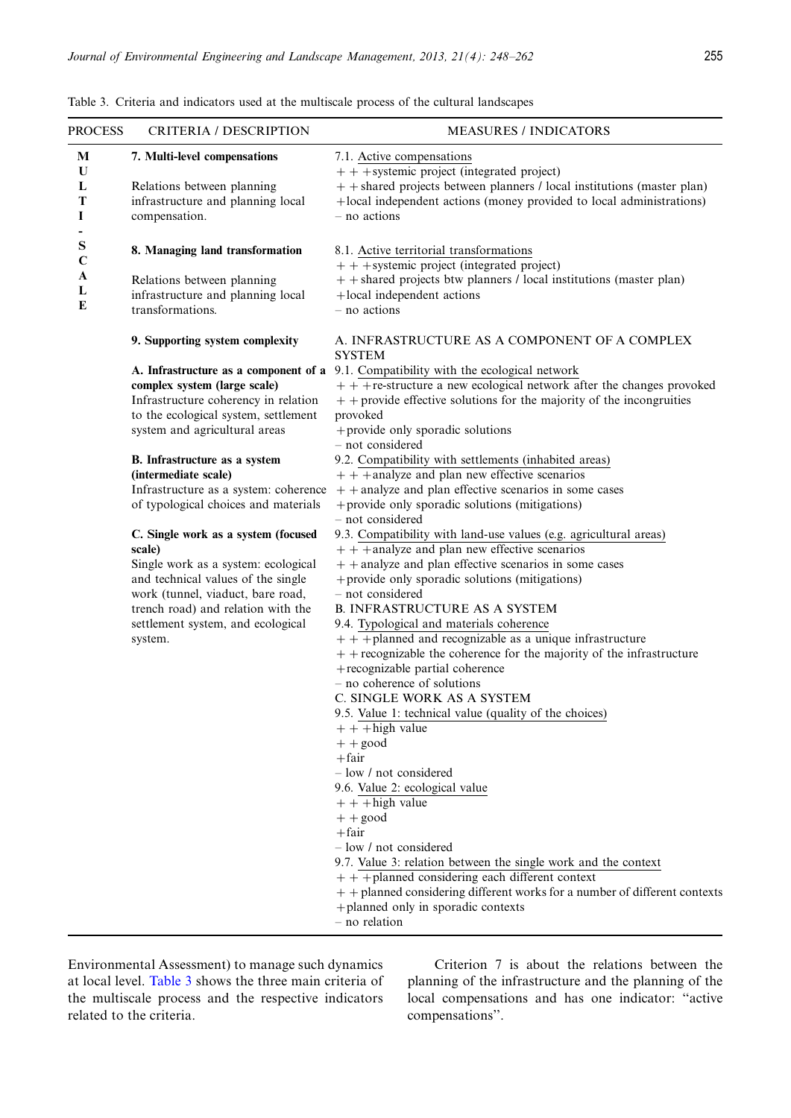| PROCESS                                 | <b>CRITERIA / DESCRIPTION</b>                                                                                                                                                                                                                                                                                                                                                                                                                                                                                                                                                       | <b>MEASURES / INDICATORS</b>                                                                                                                                                                                                                                                                                                                                                                                                                                                                                                                                                                                                                                                                                                                                                                                                                                                                                                                                                                                                                                                                                                                                                                                                                                                                                                                                                                                                                                                                                                                                                                                                                                                 |
|-----------------------------------------|-------------------------------------------------------------------------------------------------------------------------------------------------------------------------------------------------------------------------------------------------------------------------------------------------------------------------------------------------------------------------------------------------------------------------------------------------------------------------------------------------------------------------------------------------------------------------------------|------------------------------------------------------------------------------------------------------------------------------------------------------------------------------------------------------------------------------------------------------------------------------------------------------------------------------------------------------------------------------------------------------------------------------------------------------------------------------------------------------------------------------------------------------------------------------------------------------------------------------------------------------------------------------------------------------------------------------------------------------------------------------------------------------------------------------------------------------------------------------------------------------------------------------------------------------------------------------------------------------------------------------------------------------------------------------------------------------------------------------------------------------------------------------------------------------------------------------------------------------------------------------------------------------------------------------------------------------------------------------------------------------------------------------------------------------------------------------------------------------------------------------------------------------------------------------------------------------------------------------------------------------------------------------|
| М<br>$\mathbf U$<br>L<br>T<br>I         | 7. Multi-level compensations<br>Relations between planning<br>infrastructure and planning local<br>compensation.                                                                                                                                                                                                                                                                                                                                                                                                                                                                    | 7.1. Active compensations<br>$++$ + systemic project (integrated project)<br>+ + shared projects between planners / local institutions (master plan)<br>+local independent actions (money provided to local administrations)<br>- no actions                                                                                                                                                                                                                                                                                                                                                                                                                                                                                                                                                                                                                                                                                                                                                                                                                                                                                                                                                                                                                                                                                                                                                                                                                                                                                                                                                                                                                                 |
| ${\bf S}$<br>$\mathbf C$<br>A<br>L<br>E | 8. Managing land transformation<br>Relations between planning<br>infrastructure and planning local<br>transformations.                                                                                                                                                                                                                                                                                                                                                                                                                                                              | 8.1. Active territorial transformations<br>$++$ + systemic project (integrated project)<br>$+$ + shared projects btw planners / local institutions (master plan)<br>+local independent actions<br>$-$ no actions                                                                                                                                                                                                                                                                                                                                                                                                                                                                                                                                                                                                                                                                                                                                                                                                                                                                                                                                                                                                                                                                                                                                                                                                                                                                                                                                                                                                                                                             |
|                                         | 9. Supporting system complexity<br>complex system (large scale)<br>Infrastructure coherency in relation<br>to the ecological system, settlement<br>system and agricultural areas<br>B. Infrastructure as a system<br>(intermediate scale)<br>Infrastructure as a system: coherence<br>of typological choices and materials<br>C. Single work as a system (focused<br>scale)<br>Single work as a system: ecological<br>and technical values of the single<br>work (tunnel, viaduct, bare road,<br>trench road) and relation with the<br>settlement system, and ecological<br>system. | A. INFRASTRUCTURE AS A COMPONENT OF A COMPLEX<br><b>SYSTEM</b><br>A. Infrastructure as a component of a 9.1. Compatibility with the ecological network<br>$+++$ re-structure a new ecological network after the changes provoked<br>$+$ + provide effective solutions for the majority of the incongruities<br>provoked<br>+provide only sporadic solutions<br>- not considered<br>9.2. Compatibility with settlements (inhabited areas)<br>$+++$ analyze and plan new effective scenarios<br>$+$ + analyze and plan effective scenarios in some cases<br>+ provide only sporadic solutions (mitigations)<br>- not considered<br>9.3. Compatibility with land-use values (e.g. agricultural areas)<br>$+++$ analyze and plan new effective scenarios<br>$+$ + analyze and plan effective scenarios in some cases<br>+provide only sporadic solutions (mitigations)<br>- not considered<br><b>B. INFRASTRUCTURE AS A SYSTEM</b><br>9.4. Typological and materials coherence<br>$+++$ planned and recognizable as a unique infrastructure<br>$+$ + recognizable the coherence for the majority of the infrastructure<br>+recognizable partial coherence<br>- no coherence of solutions<br>C. SINGLE WORK AS A SYSTEM<br>9.5. Value 1: technical value (quality of the choices)<br>$+++high$ value<br>$+ +$ good<br>$+$ fair<br>- low / not considered<br>9.6. Value 2: ecological value<br>$+++$ high value<br>$+ +$ good<br>$+$ fair<br>$-$ low $\prime$ not considered<br>9.7. Value 3: relation between the single work and the context<br>$+++$ planned considering each different context<br>$+$ + planned considering different works for a number of different contexts |
|                                         |                                                                                                                                                                                                                                                                                                                                                                                                                                                                                                                                                                                     | +planned only in sporadic contexts<br>– no relation                                                                                                                                                                                                                                                                                                                                                                                                                                                                                                                                                                                                                                                                                                                                                                                                                                                                                                                                                                                                                                                                                                                                                                                                                                                                                                                                                                                                                                                                                                                                                                                                                          |

Table 3. Criteria and indicators used at the multiscale process of the cultural landscapes

Environmental Assessment) to manage such dynamics at local level. Table 3 shows the three main criteria of the multiscale process and the respective indicators related to the criteria.

Criterion 7 is about the relations between the planning of the infrastructure and the planning of the local compensations and has one indicator: ''active compensations''.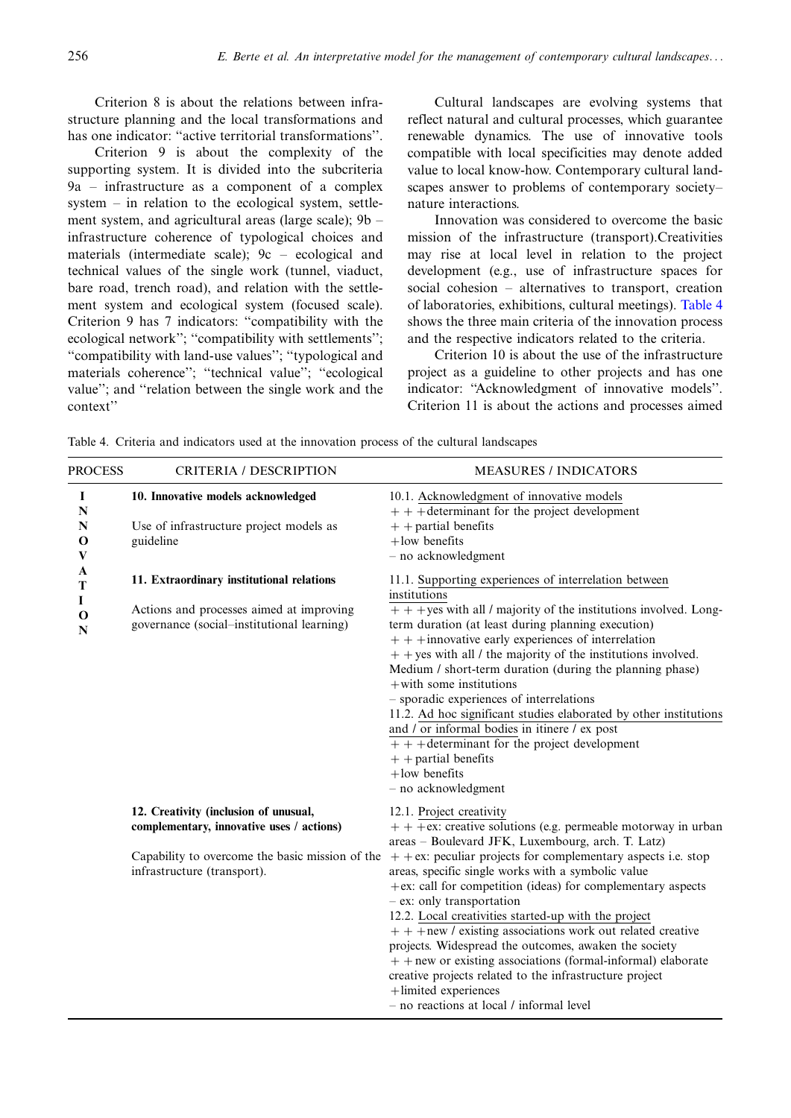Criterion 8 is about the relations between infrastructure planning and the local transformations and has one indicator: ''active territorial transformations''.

Criterion 9 is about the complexity of the supporting system. It is divided into the subcriteria 9a - infrastructure as a component of a complex system - in relation to the ecological system, settlement system, and agricultural areas (large scale); 9b infrastructure coherence of typological choices and materials (intermediate scale); 9c - ecological and technical values of the single work (tunnel, viaduct, bare road, trench road), and relation with the settlement system and ecological system (focused scale). Criterion 9 has 7 indicators: ''compatibility with the ecological network''; ''compatibility with settlements''; ''compatibility with land-use values''; ''typological and materials coherence"; "technical value"; "ecological value''; and ''relation between the single work and the context''

Cultural landscapes are evolving systems that reflect natural and cultural processes, which guarantee renewable dynamics. The use of innovative tools compatible with local specificities may denote added value to local know-how. Contemporary cultural landscapes answer to problems of contemporary society nature interactions.

Innovation was considered to overcome the basic mission of the infrastructure (transport).Creativities may rise at local level in relation to the project development (e.g., use of infrastructure spaces for social cohesion - alternatives to transport, creation of laboratories, exhibitions, cultural meetings). Table 4 shows the three main criteria of the innovation process and the respective indicators related to the criteria.

Criterion 10 is about the use of the infrastructure project as a guideline to other projects and has one indicator: ''Acknowledgment of innovative models''. Criterion 11 is about the actions and processes aimed

|  |  |  |  |  |  |  | Table 4. Criteria and indicators used at the innovation process of the cultural landscapes |  |  |  |  |  |  |
|--|--|--|--|--|--|--|--------------------------------------------------------------------------------------------|--|--|--|--|--|--|
|--|--|--|--|--|--|--|--------------------------------------------------------------------------------------------|--|--|--|--|--|--|

| <b>PROCESS</b>                                             | <b>CRITERIA / DESCRIPTION</b>                                                                                                                                        | <b>MEASURES / INDICATORS</b>                                                                                                                                                                                                                                                                                                                                                                                                                                                                                                                                                                                                                                                                                                                             |
|------------------------------------------------------------|----------------------------------------------------------------------------------------------------------------------------------------------------------------------|----------------------------------------------------------------------------------------------------------------------------------------------------------------------------------------------------------------------------------------------------------------------------------------------------------------------------------------------------------------------------------------------------------------------------------------------------------------------------------------------------------------------------------------------------------------------------------------------------------------------------------------------------------------------------------------------------------------------------------------------------------|
| I<br>${\bf N}$<br>${\bf N}$<br>$\mathbf 0$<br>$\mathbf{V}$ | 10. Innovative models acknowledged<br>Use of infrastructure project models as<br>guideline                                                                           | 10.1. Acknowledgment of innovative models<br>$+++$ determinant for the project development<br>$+$ + partial benefits<br>$+$ low benefits<br>- no acknowledgment                                                                                                                                                                                                                                                                                                                                                                                                                                                                                                                                                                                          |
| A<br>T<br>I<br>$\mathbf 0$<br>$\mathbf N$                  | 11. Extraordinary institutional relations<br>Actions and processes aimed at improving<br>governance (social-institutional learning)                                  | 11.1. Supporting experiences of interrelation between<br>institutions<br>$+++ye$ s with all / majority of the institutions involved. Long-<br>term duration (at least during planning execution)<br>$+++$ innovative early experiences of interrelation<br>$+ +$ yes with all / the majority of the institutions involved.<br>Medium / short-term duration (during the planning phase)<br>$+$ with some institutions<br>- sporadic experiences of interrelations<br>11.2. Ad hoc significant studies elaborated by other institutions<br>and / or informal bodies in itinere / ex post<br>$+++$ determinant for the project development<br>$+$ + partial benefits<br>$+$ low benefits<br>- no acknowledgment                                             |
|                                                            | 12. Creativity (inclusion of unusual,<br>complementary, innovative uses / actions)<br>Capability to overcome the basic mission of the<br>infrastructure (transport). | 12.1. Project creativity<br>$+++$ ex: creative solutions (e.g. permeable motorway in urban<br>areas - Boulevard JFK, Luxembourg, arch. T. Latz)<br>$+ +$ ex: peculiar projects for complementary aspects i.e. stop<br>areas, specific single works with a symbolic value<br>$+ex$ : call for competition (ideas) for complementary aspects<br>- ex: only transportation<br>12.2. Local creativities started-up with the project<br>$+++$ new / existing associations work out related creative<br>projects. Widespread the outcomes, awaken the society<br>$+$ + new or existing associations (formal-informal) elaborate<br>creative projects related to the infrastructure project<br>+limited experiences<br>- no reactions at local / informal level |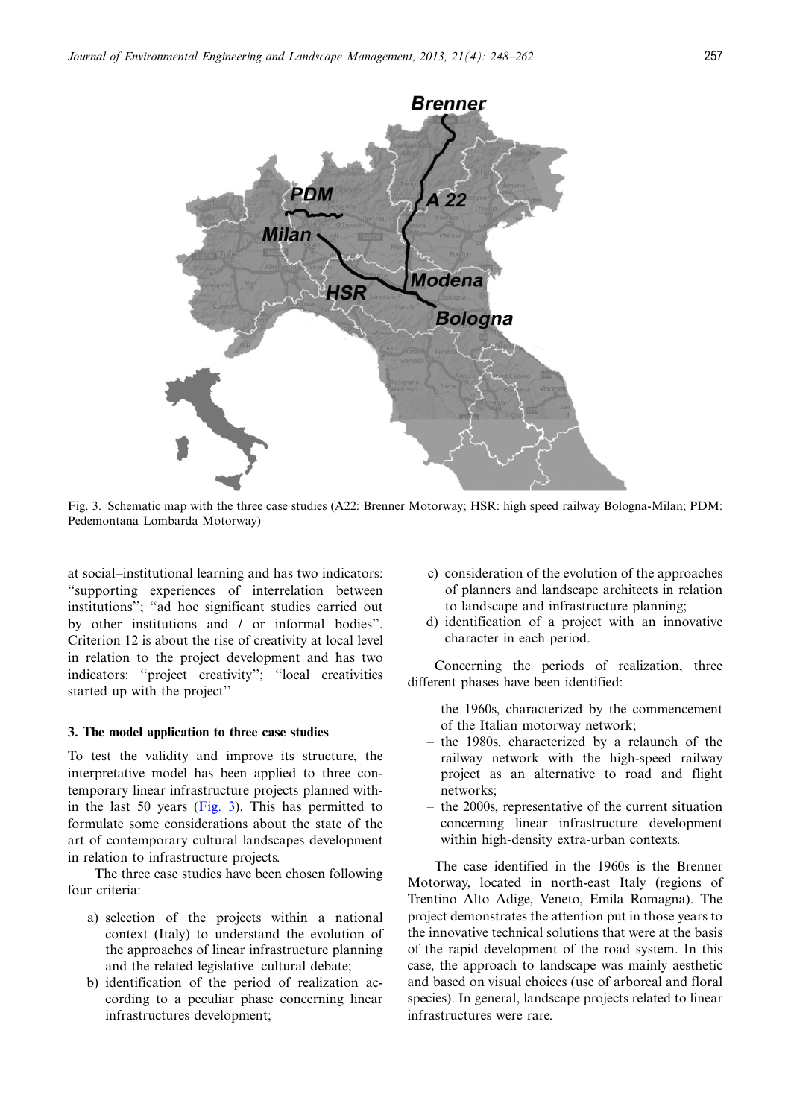

Fig. 3. Schematic map with the three case studies (A22: Brenner Motorway; HSR: high speed railway Bologna-Milan; PDM: Pedemontana Lombarda Motorway)

at social-institutional learning and has two indicators: ''supporting experiences of interrelation between institutions''; ''ad hoc significant studies carried out by other institutions and / or informal bodies''. Criterion 12 is about the rise of creativity at local level in relation to the project development and has two indicators: ''project creativity''; ''local creativities started up with the project''

#### 3. The model application to three case studies

To test the validity and improve its structure, the interpretative model has been applied to three contemporary linear infrastructure projects planned within the last 50 years (Fig. 3). This has permitted to formulate some considerations about the state of the art of contemporary cultural landscapes development in relation to infrastructure projects.

The three case studies have been chosen following four criteria:

- a) selection of the projects within a national context (Italy) to understand the evolution of the approaches of linear infrastructure planning and the related legislative-cultural debate;
- b) identification of the period of realization according to a peculiar phase concerning linear infrastructures development;
- c) consideration of the evolution of the approaches of planners and landscape architects in relation to landscape and infrastructure planning;
- d) identification of a project with an innovative character in each period.

Concerning the periods of realization, three different phases have been identified:

- the 1960s, characterized by the commencement of the Italian motorway network;
- the 1980s, characterized by a relaunch of the railway network with the high-speed railway project as an alternative to road and flight networks;
- the 2000s, representative of the current situation concerning linear infrastructure development within high-density extra-urban contexts.

The case identified in the 1960s is the Brenner Motorway, located in north-east Italy (regions of Trentino Alto Adige, Veneto, Emila Romagna). The project demonstrates the attention put in those years to the innovative technical solutions that were at the basis of the rapid development of the road system. In this case, the approach to landscape was mainly aesthetic and based on visual choices (use of arboreal and floral species). In general, landscape projects related to linear infrastructures were rare.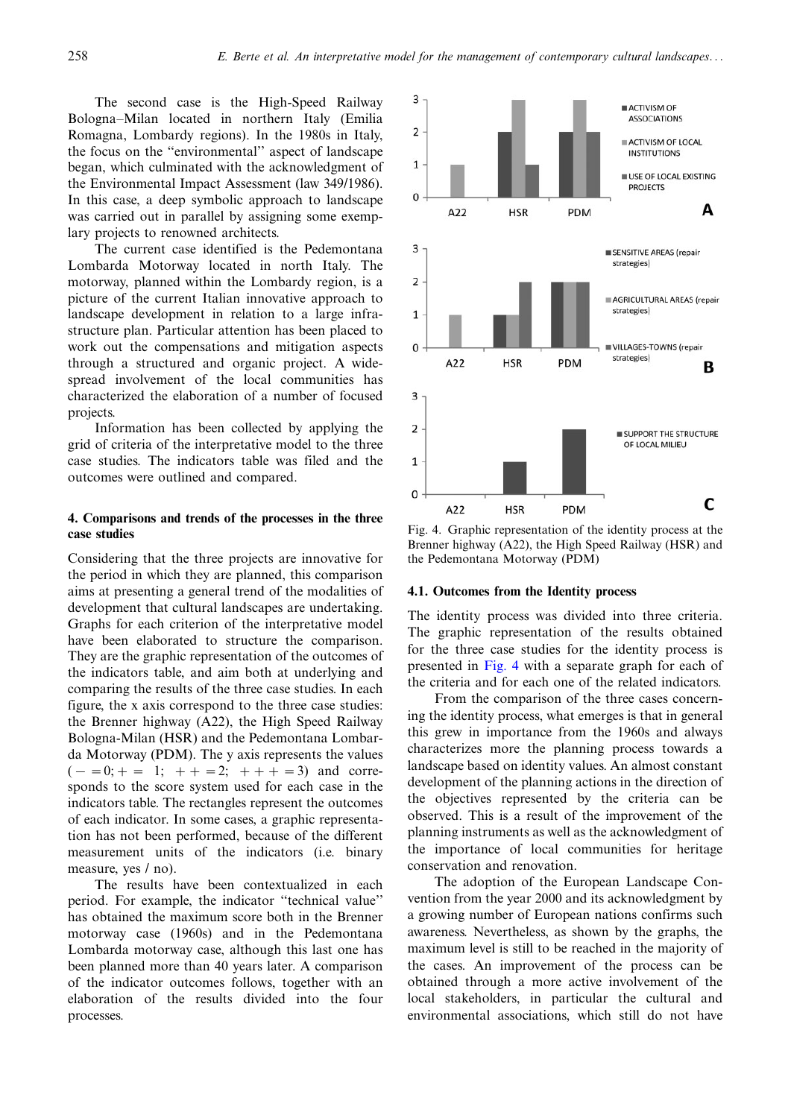<span id="page-10-0"></span>The second case is the High-Speed Railway Bologna-Milan located in northern Italy (Emilia Romagna, Lombardy regions). In the 1980s in Italy, the focus on the ''environmental'' aspect of landscape began, which culminated with the acknowledgment of the Environmental Impact Assessment (law 349/1986). In this case, a deep symbolic approach to landscape was carried out in parallel by assigning some exemplary projects to renowned architects.

The current case identified is the Pedemontana Lombarda Motorway located in north Italy. The motorway, planned within the Lombardy region, is a picture of the current Italian innovative approach to landscape development in relation to a large infrastructure plan. Particular attention has been placed to work out the compensations and mitigation aspects through a structured and organic project. A widespread involvement of the local communities has characterized the elaboration of a number of focused projects.

Information has been collected by applying the grid of criteria of the interpretative model to the three case studies. The indicators table was filed and the outcomes were outlined and compared.

## 4. Comparisons and trends of the processes in the three case studies

Considering that the three projects are innovative for the period in which they are planned, this comparison aims at presenting a general trend of the modalities of development that cultural landscapes are undertaking. Graphs for each criterion of the interpretative model have been elaborated to structure the comparison. They are the graphic representation of the outcomes of the indicators table, and aim both at underlying and comparing the results of the three case studies. In each figure, the x axis correspond to the three case studies: the Brenner highway (A22), the High Speed Railway Bologna-Milan (HSR) and the Pedemontana Lombarda Motorway (PDM). The y axis represents the values  $(-1, 0; +1; +1; +1; -2; +1; +1; -3)$  and corresponds to the score system used for each case in the indicators table. The rectangles represent the outcomes of each indicator. In some cases, a graphic representation has not been performed, because of the different measurement units of the indicators (i.e. binary measure, yes / no).

The results have been contextualized in each period. For example, the indicator ''technical value'' has obtained the maximum score both in the Brenner motorway case (1960s) and in the Pedemontana Lombarda motorway case, although this last one has been planned more than 40 years later. A comparison of the indicator outcomes follows, together with an elaboration of the results divided into the four processes.



Fig. 4. Graphic representation of the identity process at the Brenner highway (A22), the High Speed Railway (HSR) and the Pedemontana Motorway (PDM)

#### 4.1. Outcomes from the Identity process

The identity process was divided into three criteria. The graphic representation of the results obtained for the three case studies for the identity process is presented in Fig. 4 with a separate graph for each of the criteria and for each one of the related indicators.

From the comparison of the three cases concerning the identity process, what emerges is that in general this grew in importance from the 1960s and always characterizes more the planning process towards a landscape based on identity values. An almost constant development of the planning actions in the direction of the objectives represented by the criteria can be observed. This is a result of the improvement of the planning instruments as well as the acknowledgment of the importance of local communities for heritage conservation and renovation.

The adoption of the European Landscape Convention from the year 2000 and its acknowledgment by a growing number of European nations confirms such awareness. Nevertheless, as shown by the graphs, the maximum level is still to be reached in the majority of the cases. An improvement of the process can be obtained through a more active involvement of the local stakeholders, in particular the cultural and environmental associations, which still do not have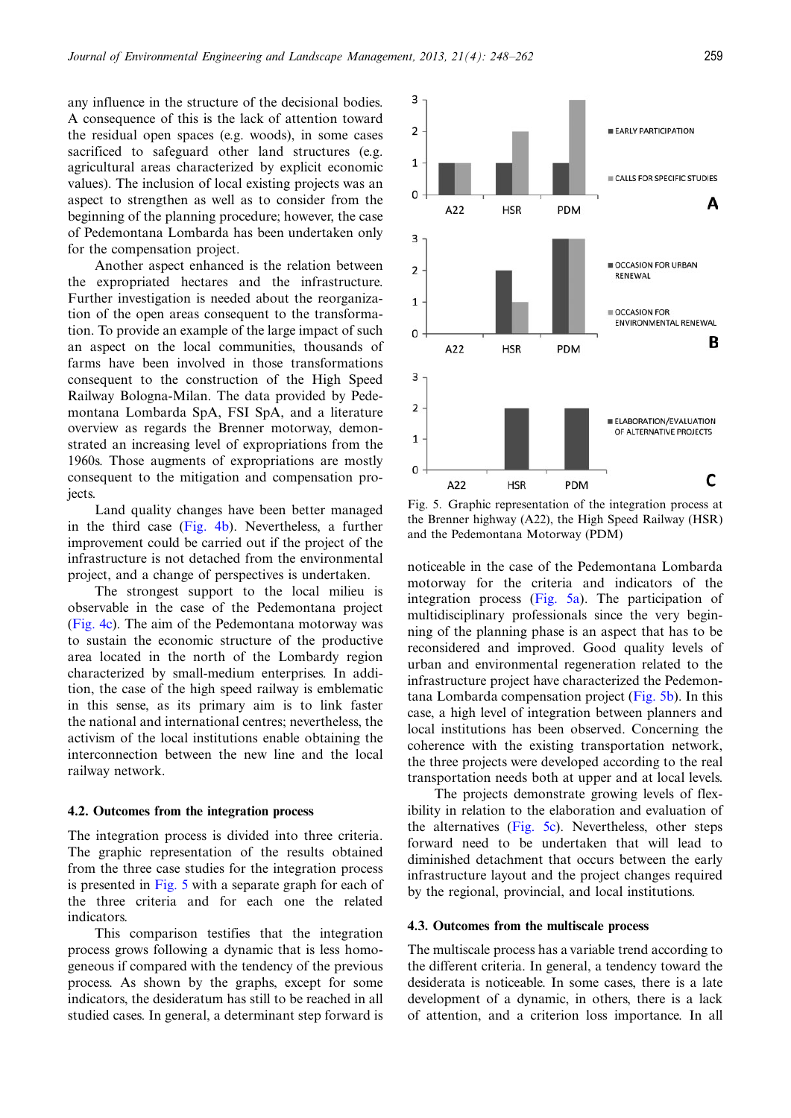any influence in the structure of the decisional bodies. A consequence of this is the lack of attention toward the residual open spaces (e.g. woods), in some cases sacrificed to safeguard other land structures (e.g. agricultural areas characterized by explicit economic values). The inclusion of local existing projects was an aspect to strengthen as well as to consider from the beginning of the planning procedure; however, the case of Pedemontana Lombarda has been undertaken only for the compensation project.

Another aspect enhanced is the relation between the expropriated hectares and the infrastructure. Further investigation is needed about the reorganization of the open areas consequent to the transformation. To provide an example of the large impact of such an aspect on the local communities, thousands of farms have been involved in those transformations consequent to the construction of the High Speed Railway Bologna-Milan. The data provided by Pedemontana Lombarda SpA, FSI SpA, and a literature overview as regards the Brenner motorway, demonstrated an increasing level of expropriations from the 1960s. Those augments of expropriations are mostly consequent to the mitigation and compensation projects.

Land quality changes have been better managed in the third case [\(Fig. 4b](#page-10-0)). Nevertheless, a further improvement could be carried out if the project of the infrastructure is not detached from the environmental project, and a change of perspectives is undertaken.

The strongest support to the local milieu is observable in the case of the Pedemontana project [\(Fig. 4c\)](#page-10-0). The aim of the Pedemontana motorway was to sustain the economic structure of the productive area located in the north of the Lombardy region characterized by small-medium enterprises. In addition, the case of the high speed railway is emblematic in this sense, as its primary aim is to link faster the national and international centres; nevertheless, the activism of the local institutions enable obtaining the interconnection between the new line and the local railway network.

## 4.2. Outcomes from the integration process

The integration process is divided into three criteria. The graphic representation of the results obtained from the three case studies for the integration process is presented in Fig. 5 with a separate graph for each of the three criteria and for each one the related indicators.

This comparison testifies that the integration process grows following a dynamic that is less homogeneous if compared with the tendency of the previous process. As shown by the graphs, except for some indicators, the desideratum has still to be reached in all studied cases. In general, a determinant step forward is



Fig. 5. Graphic representation of the integration process at the Brenner highway (A22), the High Speed Railway (HSR) and the Pedemontana Motorway (PDM)

noticeable in the case of the Pedemontana Lombarda motorway for the criteria and indicators of the integration process (Fig. 5a). The participation of multidisciplinary professionals since the very beginning of the planning phase is an aspect that has to be reconsidered and improved. Good quality levels of urban and environmental regeneration related to the infrastructure project have characterized the Pedemontana Lombarda compensation project (Fig. 5b). In this case, a high level of integration between planners and local institutions has been observed. Concerning the coherence with the existing transportation network, the three projects were developed according to the real transportation needs both at upper and at local levels.

The projects demonstrate growing levels of flexibility in relation to the elaboration and evaluation of the alternatives (Fig. 5c). Nevertheless, other steps forward need to be undertaken that will lead to diminished detachment that occurs between the early infrastructure layout and the project changes required by the regional, provincial, and local institutions.

#### 4.3. Outcomes from the multiscale process

The multiscale process has a variable trend according to the different criteria. In general, a tendency toward the desiderata is noticeable. In some cases, there is a late development of a dynamic, in others, there is a lack of attention, and a criterion loss importance. In all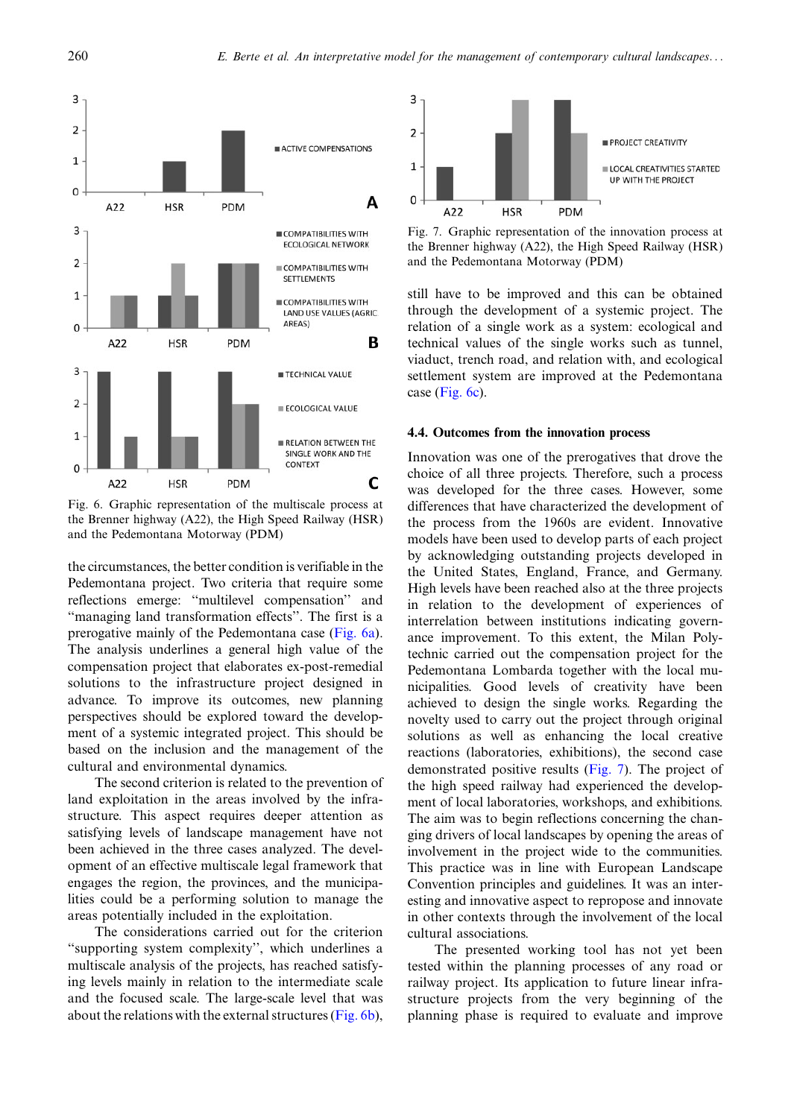

Fig. 6. Graphic representation of the multiscale process at the Brenner highway (A22), the High Speed Railway (HSR) and the Pedemontana Motorway (PDM)

the circumstances, the better condition is verifiable in the Pedemontana project. Two criteria that require some reflections emerge: ''multilevel compensation'' and "managing land transformation effects". The first is a prerogative mainly of the Pedemontana case (Fig. 6a). The analysis underlines a general high value of the compensation project that elaborates ex-post-remedial solutions to the infrastructure project designed in advance. To improve its outcomes, new planning perspectives should be explored toward the development of a systemic integrated project. This should be based on the inclusion and the management of the cultural and environmental dynamics.

The second criterion is related to the prevention of land exploitation in the areas involved by the infrastructure. This aspect requires deeper attention as satisfying levels of landscape management have not been achieved in the three cases analyzed. The development of an effective multiscale legal framework that engages the region, the provinces, and the municipalities could be a performing solution to manage the areas potentially included in the exploitation.

The considerations carried out for the criterion ''supporting system complexity'', which underlines a multiscale analysis of the projects, has reached satisfying levels mainly in relation to the intermediate scale and the focused scale. The large-scale level that was about the relations with the external structures (Fig. 6b),



Fig. 7. Graphic representation of the innovation process at the Brenner highway (A22), the High Speed Railway (HSR) and the Pedemontana Motorway (PDM)

still have to be improved and this can be obtained through the development of a systemic project. The relation of a single work as a system: ecological and technical values of the single works such as tunnel, viaduct, trench road, and relation with, and ecological settlement system are improved at the Pedemontana case (Fig. 6c).

#### 4.4. Outcomes from the innovation process

Innovation was one of the prerogatives that drove the choice of all three projects. Therefore, such a process was developed for the three cases. However, some differences that have characterized the development of the process from the 1960s are evident. Innovative models have been used to develop parts of each project by acknowledging outstanding projects developed in the United States, England, France, and Germany. High levels have been reached also at the three projects in relation to the development of experiences of interrelation between institutions indicating governance improvement. To this extent, the Milan Polytechnic carried out the compensation project for the Pedemontana Lombarda together with the local municipalities. Good levels of creativity have been achieved to design the single works. Regarding the novelty used to carry out the project through original solutions as well as enhancing the local creative reactions (laboratories, exhibitions), the second case demonstrated positive results (Fig. 7). The project of the high speed railway had experienced the development of local laboratories, workshops, and exhibitions. The aim was to begin reflections concerning the changing drivers of local landscapes by opening the areas of involvement in the project wide to the communities. This practice was in line with European Landscape Convention principles and guidelines. It was an interesting and innovative aspect to repropose and innovate in other contexts through the involvement of the local cultural associations.

The presented working tool has not yet been tested within the planning processes of any road or railway project. Its application to future linear infrastructure projects from the very beginning of the planning phase is required to evaluate and improve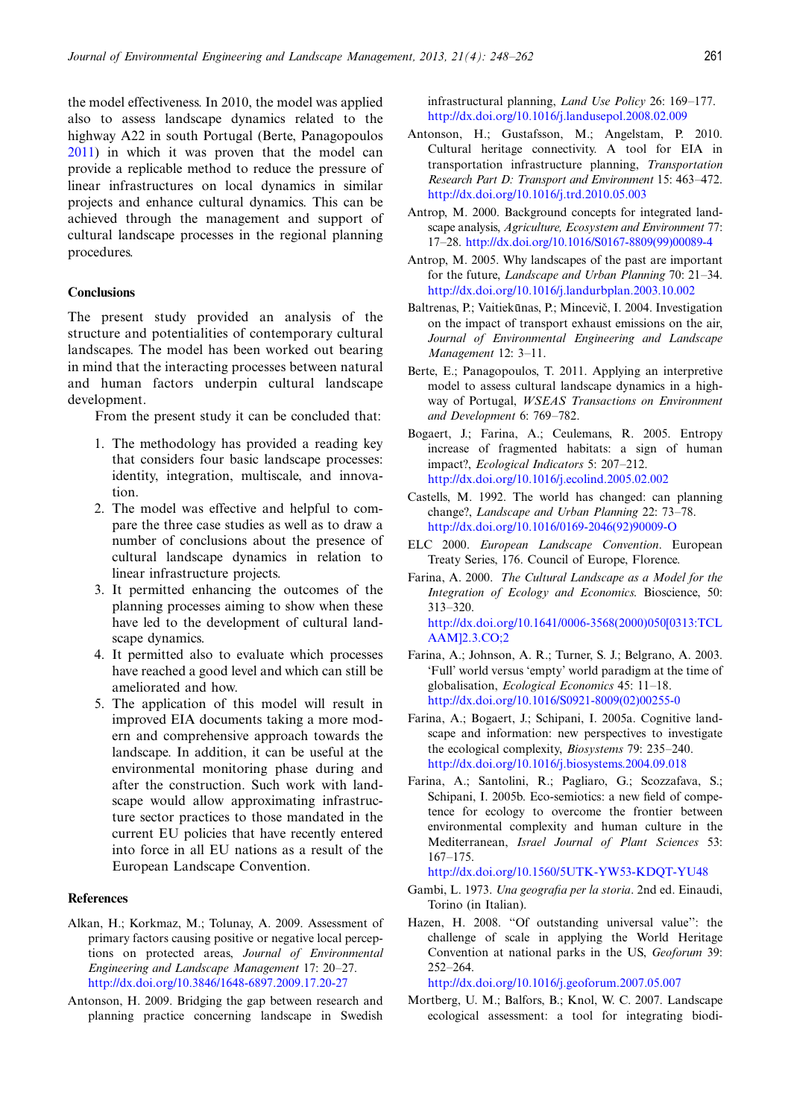<span id="page-13-0"></span>the model effectiveness. In 2010, the model was applied also to assess landscape dynamics related to the highway A22 in south Portugal (Berte, Panagopoulos 2011) in which it was proven that the model can provide a replicable method to reduce the pressure of linear infrastructures on local dynamics in similar projects and enhance cultural dynamics. This can be achieved through the management and support of cultural landscape processes in the regional planning procedures.

## **Conclusions**

The present study provided an analysis of the structure and potentialities of contemporary cultural landscapes. The model has been worked out bearing in mind that the interacting processes between natural and human factors underpin cultural landscape development.

From the present study it can be concluded that:

- 1. The methodology has provided a reading key that considers four basic landscape processes: identity, integration, multiscale, and innovation.
- 2. The model was effective and helpful to compare the three case studies as well as to draw a number of conclusions about the presence of cultural landscape dynamics in relation to linear infrastructure projects.
- 3. It permitted enhancing the outcomes of the planning processes aiming to show when these have led to the development of cultural landscape dynamics.
- 4. It permitted also to evaluate which processes have reached a good level and which can still be ameliorated and how.
- 5. The application of this model will result in improved EIA documents taking a more modern and comprehensive approach towards the landscape. In addition, it can be useful at the environmental monitoring phase during and after the construction. Such work with landscape would allow approximating infrastructure sector practices to those mandated in the current EU policies that have recently entered into force in all EU nations as a result of the European Landscape Convention.

### **References**

- Alkan, H.; Korkmaz, M.; Tolunay, A. 2009. Assessment of primary factors causing positive or negative local perceptions on protected areas, Journal of Environmental Engineering and Landscape Management 17: 20-27. <http://dx.doi.org/10.3846/1648-6897.2009.17.20-27>
- Antonson, H. 2009. Bridging the gap between research and planning practice concerning landscape in Swedish

infrastructural planning, Land Use Policy 26: 169-177. <http://dx.doi.org/10.1016/j.landusepol.2008.02.009>

- Antonson, H.; Gustafsson, M.; Angelstam, P. 2010. Cultural heritage connectivity. A tool for EIA in transportation infrastructure planning, Transportation Research Part D: Transport and Environment 15: 463-472. <http://dx.doi.org/10.1016/j.trd.2010.05.003>
- Antrop, M. 2000. Background concepts for integrated landscape analysis, Agriculture, Ecosystem and Environment 77: 17-28. [http://dx.doi.org/10.1016/S0167-8809\(99\)00089-4](http://dx.doi.org/10.1016/S0167-8809(99)00089-4)
- Antrop, M. 2005. Why landscapes of the past are important for the future, Landscape and Urban Planning 70: 21-34. <http://dx.doi.org/10.1016/j.landurbplan.2003.10.002>
- Baltrenas, P.; Vaitiekūnas, P.; Mincevič, I. 2004. Investigation on the impact of transport exhaust emissions on the air, Journal of Environmental Engineering and Landscape Management 12: 3-11.
- Berte, E.; Panagopoulos, T. 2011. Applying an interpretive model to assess cultural landscape dynamics in a highway of Portugal, WSEAS Transactions on Environment and Development 6: 769-782.
- Bogaert, J.; Farina, A.; Ceulemans, R. 2005. Entropy increase of fragmented habitats: a sign of human impact?, Ecological Indicators 5: 207-212. <http://dx.doi.org/10.1016/j.ecolind.2005.02.002>
- Castells, M. 1992. The world has changed: can planning change?, Landscape and Urban Planning 22: 73-78. [http://dx.doi.org/10.1016/0169-2046\(92\)90009-O](http://dx.doi.org/10.1016/0169-2046(92)90009-O)
- ELC 2000. European Landscape Convention. European Treaty Series, 176. Council of Europe, Florence.
- Farina, A. 2000. The Cultural Landscape as a Model for the Integration of Ecology and Economics. Bioscience, 50: 313-320. [http://dx.doi.org/10.1641/0006-3568\(2000\)050\[0313:TCL](http://dx.doi.org/10.1641/0006-3568(2000)050[0313:TCLAAM]2.3.CO;2) [AAM\]2.3.CO;2](http://dx.doi.org/10.1641/0006-3568(2000)050[0313:TCLAAM]2.3.CO;2)
- Farina, A.; Johnson, A. R.; Turner, S. J.; Belgrano, A. 2003. 'Full' world versus 'empty' world paradigm at the time of globalisation, Ecological Economics 45: 11-18. [http://dx.doi.org/10.1016/S0921-8009\(02\)00255-0](http://dx.doi.org/10.1016/S0921-8009(02)00255-0)
- Farina, A.; Bogaert, J.; Schipani, I. 2005a. Cognitive landscape and information: new perspectives to investigate the ecological complexity, Biosystems 79: 235-240. <http://dx.doi.org/10.1016/j.biosystems.2004.09.018>
- Farina, A.; Santolini, R.; Pagliaro, G.; Scozzafava, S.; Schipani, I. 2005b. Eco-semiotics: a new field of competence for ecology to overcome the frontier between environmental complexity and human culture in the Mediterranean, Israel Journal of Plant Sciences 53: 167-175.

<http://dx.doi.org/10.1560/5UTK-YW53-KDQT-YU48>

- Gambi, L. 1973. Una geografia per la storia. 2nd ed. Einaudi, Torino (in Italian).
- Hazen, H. 2008. "Of outstanding universal value": the challenge of scale in applying the World Heritage Convention at national parks in the US, Geoforum 39: 252-264.

<http://dx.doi.org/10.1016/j.geoforum.2007.05.007>

Mortberg, U. M.; Balfors, B.; Knol, W. C. 2007. Landscape ecological assessment: a tool for integrating biodi